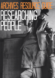# ARCHIVES RESOURCE GUDE<br>RESEARCHING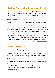# **Archive Sources for Researching People**

This resource provides a starting point if you are interested in researching a particular person who you believe is associated with the Glasgow School of Art such as a student, staff member or related artist. You can search our holdings by typing the person's name into our online catalogue search bar:

## <http://www.gsaarchives.net/archon/>

You can also find out if that person is listed under the subject heading 'Names'.

## <http://www.gsaarchives.net/archon/?p=creators/creators>

There are two sub-headings under 'Names', these are 'People' and 'Creators'. 'People' are individuals who have been mentioned, or who feature in records held within the GSA archives and collections. 'Creators' are individuals who have made records or objects.

In the GSA archives and collections we also hold student records from 1881-1987. These along with school prospectuses 1893-2010, which include lists of students and staff, can provide further information on people who have come to the school. To search these sources please send your enquiry to [archives@gsa.ac.uk.](mailto:archives@gsa.ac.uk)

# **Sources of genealogical information:**

If you are looking for general information about a person, there are a number of sources that provide genealogical information.

**Scotlands People,** one of the largest sources of information for Scottish family history research this organisation holds Scottish census records, wills, parish registers of baptisms, birth and death certificates. <http://www.scotlandspeople.gov.uk/>

**National Records of Scotland** [http://www.nrscotland.gov.uk/research/family](http://www.nrscotland.gov.uk/research/family-history)[history](http://www.nrscotland.gov.uk/research/family-history)

**Glasgow Mitchell Library Archives,** if the individual you are looking for comes from Glasgow [http://www.glasgowlife.org.uk/libraries/the-mitchell](http://www.glasgowlife.org.uk/libraries/the-mitchell-library/archives/pages/home.aspx%2520)[library/archives/pages/home.aspx](http://www.glasgowlife.org.uk/libraries/the-mitchell-library/archives/pages/home.aspx%2520)